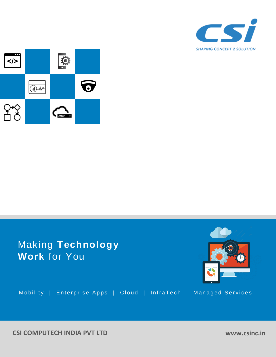



# Making **Technology Work** for You



Mobility | Enterprise Apps | Cloud | InfraTech | Managed Services

**CSI COMPUTECH INDIA PVT LTD**

**www.csinc.in**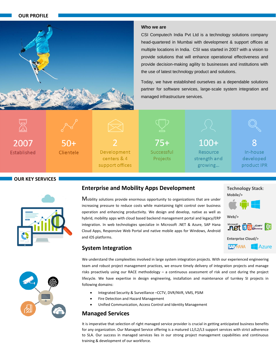#### **OUR PROFILE**



#### **Who we are**

CSI Computech India Pvt Ltd is a technology solutions company head-quartered in Mumbai with development & support offices at multiple locations in India. CSI was started in 2007 with a vision to provide solutions that will enhance operational effectiveness and provide decision-making agility to businesses and institutions with the use of latest technology product and solutions.

Today, we have established ourselves as a dependable solutions partner for software services, large-scale system integration and managed infrastructure services.



Established



Development centers & 4 support offices



 $100+$ Resource strength and growing...



In-house developed product IPR

#### **OUR KEY SERVICES**



### **Enterprise and Mobility Apps Development**

Mobility solutions provide enormous opportunity to organizations that are under increasing pressure to reduce costs while maintaining tight control over business operation and enhancing productivity. We design and develop, native as well as hybrid, mobility apps with cloud based backend management portal and legacy/ERP integration. In web technologies specialize in Microsoft .NET & Azure, SAP Hana Cloud Apps, Responsive Web Portal and native mobile apps for Windows, Android and iOS platforms.

# **Web/>**

**Technology Stack**:

**Mobile/>**



**SAP HANA Azure** 



# **System Integration**

We understand the complexities involved in large system integration projects. With our experienced engineering team and robust project management practices, we ensure timely delivery of integration projects and manage risks proactively using our RACE methodology – a continuous assessment of risk and cost during the project lifecycle. We have expertise in design engineering, installation and maintenance of turnkey SI projects in following domains:

- Integrated Security & Surveillance –CCTV, DVR/NVR, VMS, PSIM
- Fire Detection and Hazard Management
- Unified Communication, Access Control and Identity Management

## **Managed Services**

It is imperative that selection of right managed service provider is crucial in getting anticipated business benefits for any organization. Our Managed Service offering is a matured L1/L2/L3 support services with strict adherence to SLA. Our success in managed services lies in our strong project management capabilities and continuous training & development of our workforce.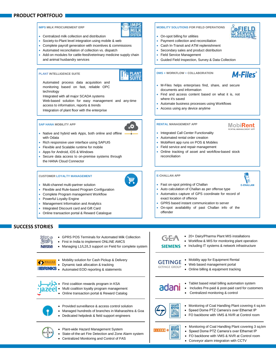#### **PRODUCT PORTFOLIO**

#### **IMPS MILK PROCUREMENT ERP**



- Centralized milk collection and distribution
- Society-to-Plant level integration using mobile & web Complete payroll generation with incentives & commissions
- Automated reconciliation of collection vs. dispatch
- Add-on modules for cattle-feed/veterinary medicine supply chain and animal husbandry services

#### **PLANT INTELLIGENCE SUITE**



 Automated process data acquisition and monitoring based on fast, reliable OPC technology

Integrated with all major SCADA systems

- Web-based solution for easy management and any-time
- access to information, reports & trends
- Integration of plant floor with the enterprise

#### **SAP HANA MOBILITY APP**



- Native and hybrid web Apps, both online and offline with Odata
- Rich responsive user interface using SAPUI5
- Flexible and Scalable runtime for mobile
- Apps for Android, iOS & Windows
- Secure data access to on-premise systems through the HANA Cloud Connector

#### **CUSTOMER LOYALTY MANAGEMENT**



- Multi-channel multi-partner solution
- Flexible and Rule-based Program Configuration
- Complete Program management Workflow
- Powerful Loyalty Engine
- Management Information and Analytics
- Integrated Discount card and Gift Card
- Online transaction portal & Reward Catalogue

#### **SUCCESS STORIES**

| Nestle        | <b>GPRS POS Terminals for Automated Milk Collection</b><br>First in India to implement ONLINE AMCS<br>Managing L1/L2/L3 support on Field for complete system |      |
|---------------|--------------------------------------------------------------------------------------------------------------------------------------------------------------|------|
| <b>BRINKS</b> | Mobility solution for Cash Pickup & Delivery<br>Dynamic task allocation & tracking<br>Automated EOD reporting & statements                                   |      |
|               | First coalition rewards program in KSA<br>Multi coalition loyalty program management<br>Online transaction portal & Reward Catalog                           |      |
|               | Provided surveillance & access control solution<br>Managed hundreds of branches in Maharashtra & Goa<br>Dedicated helpdesk & field support engineers         |      |
|               | Plant-wide Hazard Management System<br>State-of-the-art Fire Detection and Zone Alarm system                                                                 | ELLE |

Centralized Monitoring and Control of FAS

 Workflow & MIS for monitoring plant operation • Including IT systems & network infrastructure **SIEMENS**  Mobility app for Equipment Rental GETINGE Web based management portal **ETINGE GROUP** • Online billing & equipment tracking Tablet based retail billing automation system adani Includes Pre-paid & post-paid card for customers Centralized monitoring & control • Monitoring of Coal Handling Plant covering 4 sq.km



- Speed Dome PTZ Camera's over Ethernet IP
- FO backbone with VMS & NVR at Control room



- 
- Monitoring of Coal Handling Plant covering 3 sq.km Speed Dome PTZ Camera's over Ethernet IP
- FO backbone with VMS & NVR at Control room
- 
- Conveyor alarm integration with CCTV



**MobiRent** 

RENTAL MANAGEMENT APP

**M-Files**<sup>®</sup>

- Fast on-spot printing of Challan
- Auto calculation of Challan as per offense type
- Automatics capture of GPS coordinate for record of exact location of offence

Online tracking of asset and workflow-based stock

- GPRS based instant communication to server
- On-spot availability of past Challan info of the offender
- 

**MOBILITY SOLUTIONS FOR FIELD OPERATIONS**

 Payment collection and reconciliation Cash In-Transit and ATM replenishment Secondary sales and product distribution

Guided Field Inspection, Survey & Data Collection

M-Files helps enterprises find, share, and secure

Find and access content based on what it is, not

Automate business processes using Workflows

On-spot billing for utilities

Field Service Management

**DMS + WORKFLOW + COLLABORATION**

Access using any device anytime

 Integrated Call Center Functionality Automated rental order creation MobiRent app runs on POS & Mobiles • Field service and repair management

documents and information

where it's saved

**RENTAL MANAGEMENT APP**

reconciliation

**E-CHALLAN APP**

- 
- 

 $\mathbf{r}$ 



- 20+ Dairy/Pharma Plant MIS installations
- **E-CHALLAN**